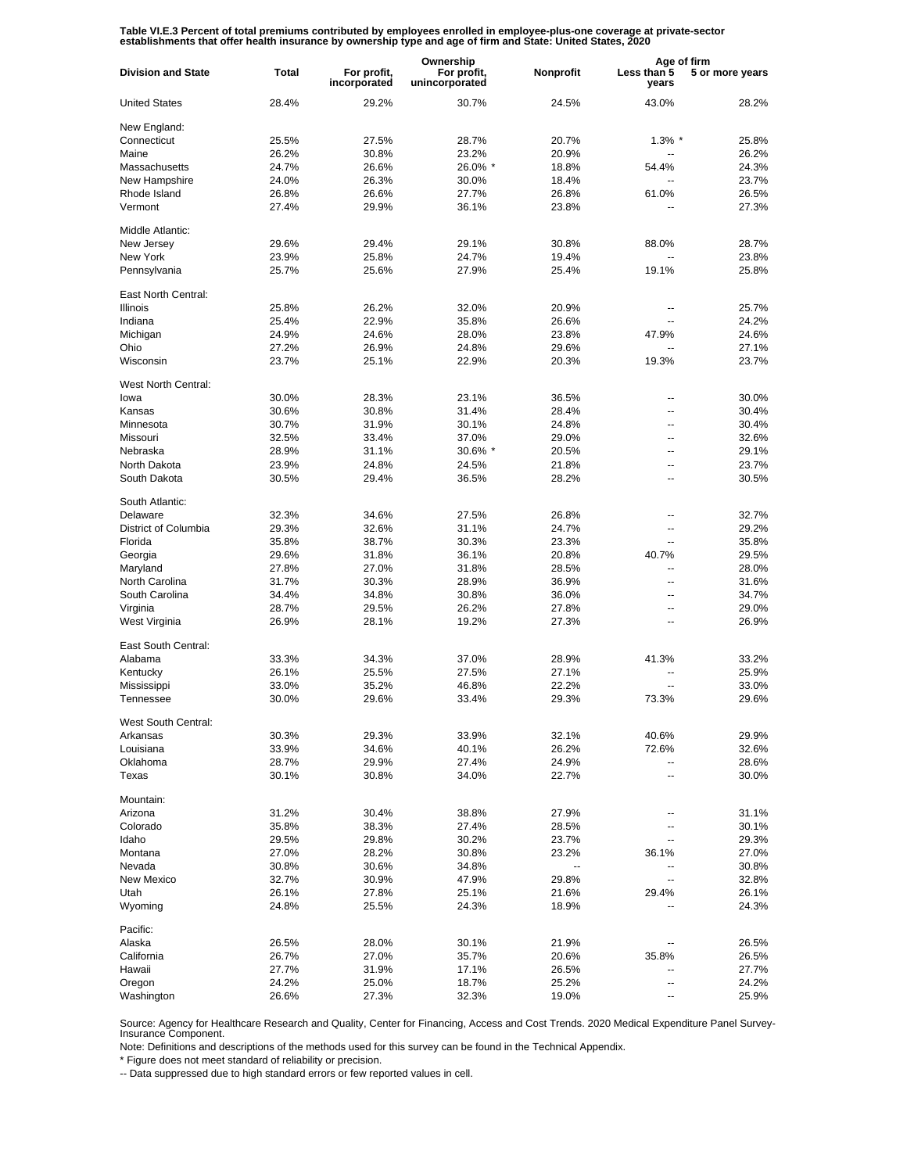Table VI.E.3 Percent of total premiums contributed by employees enrolled in employee-plus-one coverage at private-sector<br>establishments that offer health insurance by ownership type and age of firm and State: United States

|                           |                |                             | Ownership                     |           | Age of firm              |                 |
|---------------------------|----------------|-----------------------------|-------------------------------|-----------|--------------------------|-----------------|
| <b>Division and State</b> | <b>Total</b>   | For profit,<br>incorporated | For profit,<br>unincorporated | Nonprofit | Less than 5<br>years     | 5 or more years |
| <b>United States</b>      | 28.4%          | 29.2%                       | 30.7%                         | 24.5%     | 43.0%                    | 28.2%           |
| New England:              |                |                             |                               |           |                          |                 |
| Connecticut               | 25.5%          | 27.5%                       | 28.7%                         | 20.7%     | $1.3\%$ *                | 25.8%           |
| Maine                     | 26.2%          | 30.8%                       | 23.2%                         | 20.9%     |                          | 26.2%           |
| Massachusetts             | 24.7%          | 26.6%                       | 26.0% *                       | 18.8%     | 54.4%                    | 24.3%           |
| New Hampshire             | 24.0%          | 26.3%                       | 30.0%                         | 18.4%     | $\overline{a}$           | 23.7%           |
|                           |                |                             |                               |           |                          |                 |
| Rhode Island              | 26.8%          | 26.6%                       | 27.7%                         | 26.8%     | 61.0%                    | 26.5%           |
| Vermont                   | 27.4%          | 29.9%                       | 36.1%                         | 23.8%     | $\overline{a}$           | 27.3%           |
| Middle Atlantic:          |                |                             |                               |           |                          |                 |
| New Jersey                | 29.6%          | 29.4%                       | 29.1%                         | 30.8%     | 88.0%                    | 28.7%           |
| New York                  | 23.9%          | 25.8%                       | 24.7%                         | 19.4%     | $\overline{a}$           | 23.8%           |
| Pennsylvania              | 25.7%          | 25.6%                       | 27.9%                         | 25.4%     | 19.1%                    | 25.8%           |
| East North Central:       |                |                             |                               |           |                          |                 |
| <b>Illinois</b>           | 25.8%          | 26.2%                       | 32.0%                         | 20.9%     | --                       | 25.7%           |
| Indiana                   | 25.4%          | 22.9%                       | 35.8%                         | 26.6%     | --                       | 24.2%           |
| Michigan                  | 24.9%          | 24.6%                       | 28.0%                         | 23.8%     | 47.9%                    | 24.6%           |
| Ohio                      | 27.2%          | 26.9%                       | 24.8%                         | 29.6%     | --                       | 27.1%           |
| Wisconsin                 | 23.7%          | 25.1%                       | 22.9%                         | 20.3%     | 19.3%                    | 23.7%           |
|                           |                |                             |                               |           |                          |                 |
| West North Central:       |                |                             |                               |           |                          |                 |
| lowa                      | 30.0%          | 28.3%                       | 23.1%                         | 36.5%     | $-$                      | 30.0%           |
| Kansas                    | 30.6%          | 30.8%                       | 31.4%                         | 28.4%     | $\overline{\phantom{a}}$ | 30.4%           |
| Minnesota                 | 30.7%          | 31.9%                       | 30.1%                         | 24.8%     | $\overline{a}$           | 30.4%           |
| Missouri                  | 32.5%          | 33.4%                       | 37.0%                         | 29.0%     | $\overline{\phantom{a}}$ | 32.6%           |
| Nebraska                  | 28.9%          | 31.1%                       | 30.6% *                       | 20.5%     | $\overline{a}$           | 29.1%           |
| North Dakota              | 23.9%          | 24.8%                       | 24.5%                         | 21.8%     | $\overline{\phantom{a}}$ | 23.7%           |
| South Dakota              | 30.5%          | 29.4%                       | 36.5%                         | 28.2%     | $\overline{a}$           | 30.5%           |
| South Atlantic:           |                |                             |                               |           |                          |                 |
| Delaware                  | 32.3%          | 34.6%                       | 27.5%                         | 26.8%     | $-$                      | 32.7%           |
| District of Columbia      | 29.3%          | 32.6%                       | 31.1%                         | 24.7%     | $\overline{a}$           | 29.2%           |
| Florida                   | 35.8%          | 38.7%                       | 30.3%                         | 23.3%     | $\overline{a}$           | 35.8%           |
|                           |                | 31.8%                       | 36.1%                         | 20.8%     |                          | 29.5%           |
| Georgia                   | 29.6%          |                             |                               |           | 40.7%                    |                 |
| Maryland                  | 27.8%          | 27.0%                       | 31.8%                         | 28.5%     | ۵.                       | 28.0%           |
| North Carolina            | 31.7%          | 30.3%                       | 28.9%                         | 36.9%     | $\overline{a}$           | 31.6%           |
| South Carolina            | 34.4%          | 34.8%                       | 30.8%                         | 36.0%     | $\overline{a}$           | 34.7%           |
| Virginia                  | 28.7%          | 29.5%                       | 26.2%                         | 27.8%     | $\overline{a}$           | 29.0%           |
| West Virginia             | 26.9%          | 28.1%                       | 19.2%                         | 27.3%     | $\overline{a}$           | 26.9%           |
| East South Central:       |                |                             |                               |           |                          |                 |
| Alabama                   | 33.3%          | 34.3%                       | 37.0%                         | 28.9%     | 41.3%                    | 33.2%           |
| Kentucky                  | 26.1%          | 25.5%                       | 27.5%                         | 27.1%     | --                       | 25.9%           |
| Mississippi               | 33.0%          | 35.2%                       | 46.8%                         | 22.2%     | --                       | 33.0%           |
| Tennessee                 | 30.0%          | 29.6%                       | 33.4%                         | 29.3%     | 73.3%                    | 29.6%           |
| West South Central:       |                |                             |                               |           |                          |                 |
|                           |                |                             |                               |           |                          |                 |
| Arkansas                  | 30.3%          | 29.3%                       | 33.9%                         | 32.1%     | 40.6%                    | 29.9%           |
| Louisiana                 | 33.9%          | 34.6%                       | 40.1%                         | 26.2%     | 72.6%                    | 32.6%           |
| Oklahoma                  | 28.7%          | 29.9%                       | 27.4%                         | 24.9%     | --                       | 28.6%           |
| Texas                     | 30.1%          | 30.8%                       | 34.0%                         | 22.7%     | --                       | 30.0%           |
| Mountain:                 |                |                             |                               |           |                          |                 |
| Arizona                   | 31.2%          | 30.4%                       | 38.8%                         | 27.9%     | --                       | 31.1%           |
| Colorado                  | 35.8%          | 38.3%                       | 27.4%                         | 28.5%     | --                       | 30.1%           |
| Idaho                     | 29.5%          | 29.8%                       | 30.2%                         | 23.7%     | --                       | 29.3%           |
| Montana                   |                | 28.2%                       | 30.8%                         | 23.2%     | 36.1%                    | 27.0%           |
| Nevada                    | 27.0%<br>30.8% |                             |                               | -−        | --                       | 30.8%           |
|                           |                | 30.6%                       | 34.8%                         |           |                          |                 |
| New Mexico                | 32.7%          | 30.9%                       | 47.9%                         | 29.8%     | Ξ.                       | 32.8%           |
| Utah                      | 26.1%          | 27.8%                       | 25.1%                         | 21.6%     | 29.4%                    | 26.1%           |
| Wyoming                   | 24.8%          | 25.5%                       | 24.3%                         | 18.9%     |                          | 24.3%           |
| Pacific:                  |                |                             |                               |           |                          |                 |
| Alaska                    | 26.5%          | 28.0%                       | 30.1%                         | 21.9%     |                          | 26.5%           |
| California                | 26.7%          | 27.0%                       | 35.7%                         | 20.6%     | 35.8%                    | 26.5%           |
| Hawaii                    | 27.7%          | 31.9%                       | 17.1%                         | 26.5%     |                          | 27.7%           |
| Oregon                    | 24.2%          | 25.0%                       | 18.7%                         | 25.2%     | --                       | 24.2%           |
| Washington                | 26.6%          | 27.3%                       | 32.3%                         | 19.0%     | --                       | 25.9%           |
|                           |                |                             |                               |           |                          |                 |

Source: Agency for Healthcare Research and Quality, Center for Financing, Access and Cost Trends. 2020 Medical Expenditure Panel Survey-Insurance Component.

Note: Definitions and descriptions of the methods used for this survey can be found in the Technical Appendix.

\* Figure does not meet standard of reliability or precision.

-- Data suppressed due to high standard errors or few reported values in cell.